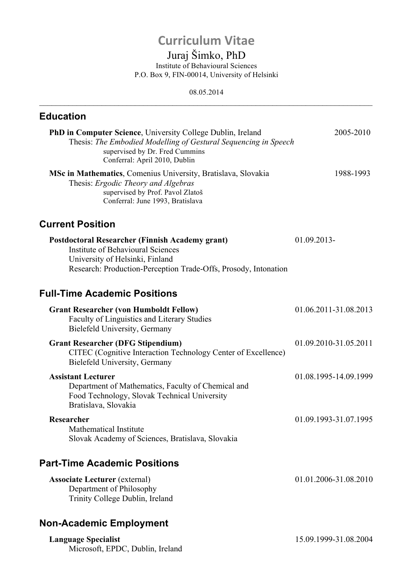# **Curriculum Vitae**

## Juraj Šimko, PhD

Institute of Behavioural Sciences P.O. Box 9, FIN-00014, University of Helsinki

08.05.2014  $\mathcal{L}_\mathcal{L} = \mathcal{L}_\mathcal{L} = \mathcal{L}_\mathcal{L} = \mathcal{L}_\mathcal{L} = \mathcal{L}_\mathcal{L} = \mathcal{L}_\mathcal{L} = \mathcal{L}_\mathcal{L} = \mathcal{L}_\mathcal{L} = \mathcal{L}_\mathcal{L} = \mathcal{L}_\mathcal{L} = \mathcal{L}_\mathcal{L} = \mathcal{L}_\mathcal{L} = \mathcal{L}_\mathcal{L} = \mathcal{L}_\mathcal{L} = \mathcal{L}_\mathcal{L} = \mathcal{L}_\mathcal{L} = \mathcal{L}_\mathcal{L}$ 

| <b>Education</b>                                                                                                                                                                                         |                       |
|----------------------------------------------------------------------------------------------------------------------------------------------------------------------------------------------------------|-----------------------|
| <b>PhD in Computer Science, University College Dublin, Ireland</b><br>Thesis: The Embodied Modelling of Gestural Sequencing in Speech<br>supervised by Dr. Fred Cummins<br>Conferral: April 2010, Dublin | 2005-2010             |
| MSc in Mathematics, Comenius University, Bratislava, Slovakia<br>Thesis: Ergodic Theory and Algebras<br>supervised by Prof. Pavol Zlatoš<br>Conferral: June 1993, Bratislava                             | 1988-1993             |
| <b>Current Position</b>                                                                                                                                                                                  |                       |
| <b>Postdoctoral Researcher (Finnish Academy grant)</b><br>Institute of Behavioural Sciences<br>University of Helsinki, Finland<br>Research: Production-Perception Trade-Offs, Prosody, Intonation        | 01.09.2013-           |
| <b>Full-Time Academic Positions</b>                                                                                                                                                                      |                       |
| <b>Grant Researcher (von Humboldt Fellow)</b><br><b>Faculty of Linguistics and Literary Studies</b><br>Bielefeld University, Germany                                                                     | 01.06.2011-31.08.2013 |
| <b>Grant Researcher (DFG Stipendium)</b><br>CITEC (Cognitive Interaction Technology Center of Excellence)<br>Bielefeld University, Germany                                                               | 01.09.2010-31.05.2011 |
| <b>Assistant Lecturer</b><br>Department of Mathematics, Faculty of Chemical and<br>Food Technology, Slovak Technical University<br>Bratislava, Slovakia                                                  | 01.08.1995-14.09.1999 |
| Researcher<br>Mathematical Institute<br>Slovak Academy of Sciences, Bratislava, Slovakia                                                                                                                 | 01.09.1993-31.07.1995 |
| <b>Part-Time Academic Positions</b>                                                                                                                                                                      |                       |
| <b>Associate Lecturer</b> (external)<br>Department of Philosophy<br>Trinity College Dublin, Ireland                                                                                                      | 01.01.2006-31.08.2010 |
| <b>Non-Academic Employment</b>                                                                                                                                                                           |                       |
| <b>Language Specialist</b><br>Microsoft, EPDC, Dublin, Ireland                                                                                                                                           | 15.09.1999-31.08.2004 |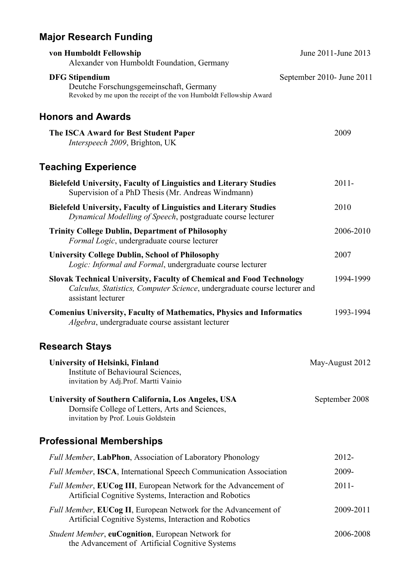# **Major Research Funding**

| von Humboldt Fellowship<br>Alexander von Humboldt Foundation, Germany                                                                                                          | June 2011-June 2013       |
|--------------------------------------------------------------------------------------------------------------------------------------------------------------------------------|---------------------------|
| <b>DFG Stipendium</b><br>Deutche Forschungsgemeinschaft, Germany<br>Revoked by me upon the receipt of the von Humboldt Fellowship Award                                        | September 2010- June 2011 |
| <b>Honors and Awards</b>                                                                                                                                                       |                           |
| The ISCA Award for Best Student Paper<br><i>Interspeech 2009</i> , Brighton, UK                                                                                                | 2009                      |
| <b>Teaching Experience</b>                                                                                                                                                     |                           |
| <b>Bielefeld University, Faculty of Linguistics and Literary Studies</b><br>Supervision of a PhD Thesis (Mr. Andreas Windmann)                                                 | $2011 -$                  |
| <b>Bielefeld University, Faculty of Linguistics and Literary Studies</b><br>Dynamical Modelling of Speech, postgraduate course lecturer                                        | 2010                      |
| <b>Trinity College Dublin, Department of Philosophy</b><br>Formal Logic, undergraduate course lecturer                                                                         | 2006-2010                 |
| <b>University College Dublin, School of Philosophy</b><br>Logic: Informal and Formal, undergraduate course lecturer                                                            | 2007                      |
| <b>Slovak Technical University, Faculty of Chemical and Food Technology</b><br>Calculus, Statistics, Computer Science, undergraduate course lecturer and<br>assistant lecturer | 1994-1999                 |
| <b>Comenius University, Faculty of Mathematics, Physics and Informatics</b><br>Algebra, undergraduate course assistant lecturer                                                | 1993-1994                 |
| Research Stays                                                                                                                                                                 |                           |
| <b>University of Helsinki, Finland</b><br>Institute of Behavioural Sciences,<br>invitation by Adj.Prof. Martti Vainio                                                          | May-August 2012           |
| University of Southern California, Los Angeles, USA<br>Dornsife College of Letters, Arts and Sciences,<br>invitation by Prof. Louis Goldstein                                  | September 2008            |
| <b>Professional Memberships</b>                                                                                                                                                |                           |
| Full Member, LabPhon, Association of Laboratory Phonology                                                                                                                      | 2012-                     |
| <b>Full Member, ISCA, International Speech Communication Association</b>                                                                                                       | 2009-                     |
| <i>Full Member</i> , <b>EUCog III</b> , European Network for the Advancement of<br>Artificial Cognitive Systems, Interaction and Robotics                                      | $2011 -$                  |
| Full Member, EUCog II, European Network for the Advancement of<br>Artificial Cognitive Systems, Interaction and Robotics                                                       | 2009-2011                 |
| Student Member, euCognition, European Network for<br>the Advancement of Artificial Cognitive Systems                                                                           | 2006-2008                 |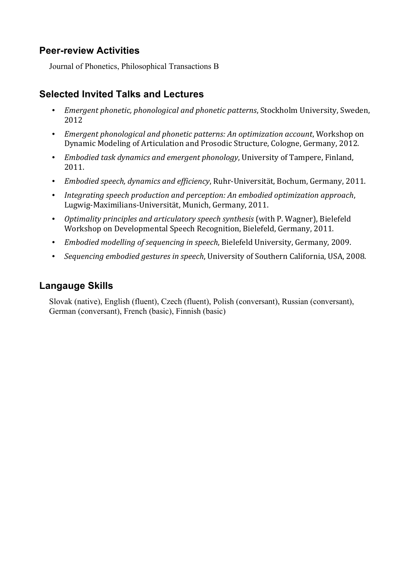#### **Peer-review Activities**

Journal of Phonetics, Philosophical Transactions B

### **Selected Invited Talks and Lectures**

- *Emergent phonetic, phonological and phonetic patterns*, Stockholm University, Sweden, 2012
- *Emergent phonological and phonetic patterns: An optimization account*, Workshop on Dynamic Modeling of Articulation and Prosodic Structure, Cologne, Germany, 2012.
- *Embodied task dynamics and emergent phonology*, University of Tampere, Finland, 2011.
- *Embodied speech, dynamics and efficiency*, Ruhr-Universität, Bochum, Germany, 2011.
- Integrating speech production and perception: An embodied optimization approach, Lugwig-Maximilians-Universität, Munich, Germany, 2011.
- *Optimality principles and articulatory speech synthesis* (with P. Wagner), Bielefeld Workshop on Developmental Speech Recognition, Bielefeld, Germany, 2011.
- *Embodied modelling of sequencing in speech*, Bielefeld University, Germany, 2009.
- *Sequencing embodied gestures in speech*, University of Southern California, USA, 2008.

### **Langauge Skills**

Slovak (native), English (fluent), Czech (fluent), Polish (conversant), Russian (conversant), German (conversant), French (basic), Finnish (basic)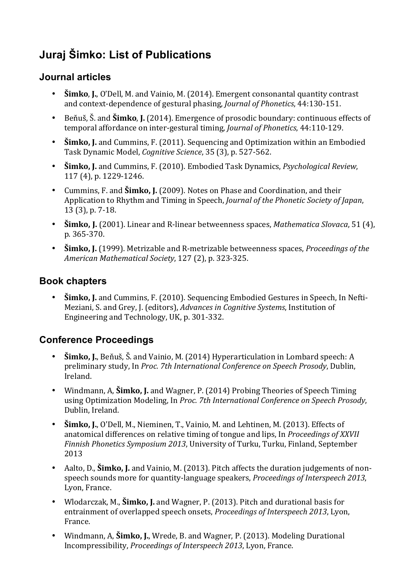# **Juraj Šimko: List of Publications**

## **Journal articles**

- **Simko, J.,** O'Dell, M. and Vainio, M. (2014). Emergent consonantal quantity contrast and context-dependence of gestural phasing, *Journal of Phonetics*, 44:130-151.
- Beňuš, Š. and **Šimko**, **J.** (2014). Emergence of prosodic boundary: continuous effects of temporal affordance on inter-gestural timing, *Journal of Phonetics*, 44:110-129.
- **Šimko, J.** and Cummins, F. (2011). Sequencing and Optimization within an Embodied Task Dynamic Model, *Cognitive Science*, 35 (3), p. 527-562.
- **Šimko, J.** and Cummins, F. (2010). Embodied Task Dynamics, *Psychological Review*, 117 (4), p. 1229-1246.
- Cummins, F. and **Šimko, J.** (2009). Notes on Phase and Coordination, and their Application to Rhythm and Timing in Speech, *Journal of the Phonetic Society of Japan*, 13 (3), p. 7-18.
- **Šimko, J.** (2001). Linear and R-linear betweenness spaces, *Mathematica Slovaca*, 51 (4), p. 365-370.
- **Šimko, J.** (1999). Metrizable and R-metrizable betweenness spaces, *Proceedings of the American Mathematical Society*, 127 (2), p. 323-325.

### **Book chapters**

• **Šimko, J.** and Cummins, F. (2010). Sequencing Embodied Gestures in Speech, In Nefti-Meziani, S. and Grey, J. (editors), *Advances in Cognitive Systems*, Institution of Engineering and Technology, UK, p. 301-332.

## **Conference Proceedings**

- **Šimko, J.**, Beňuš, Š. and Vainio, M. (2014) Hyperarticulation in Lombard speech: A preliminary study, In Proc. 7th International Conference on Speech Prosody, Dublin, Ireland.
- Windmann, A, **Šimko, J.** and Wagner, P. (2014) Probing Theories of Speech Timing using Optimization Modeling, In *Proc. 7th International Conference on Speech Prosody*, Dublin, Ireland.
- **Šimko, J.**, O'Dell, M., Nieminen, T., Vainio, M. and Lehtinen, M. (2013). Effects of anatomical differences on relative timing of tongue and lips, In *Proceedings of XXVII Finnish Phonetics Symposium 2013*, University of Turku, Turku, Finland, September 2013
- Aalto, D., **Šimko, J.** and Vainio, M. (2013). Pitch affects the duration judgements of nonspeech sounds more for quantity-language speakers, *Proceedings of Interspeech 2013*, Lyon, France.
- Wlodarczak, M., **Šimko, J.** and Wagner, P. (2013). Pitch and durational basis for entrainment of overlapped speech onsets, *Proceedings of Interspeech 2013*, Lyon, France.
- Windmann, A. **Šimko, J.**, Wrede, B. and Wagner, P. (2013). Modeling Durational Incompressibility, *Proceedings of Interspeech 2013*, Lyon, France.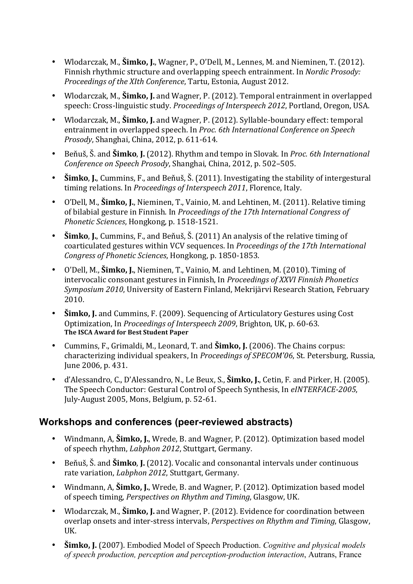- Wlodarczak, M., **Šimko, J.**, Wagner, P., O'Dell, M., Lennes, M. and Nieminen, T. (2012). Finnish rhythmic structure and overlapping speech entrainment. In *Nordic Prosody: Proceedings of the XIth Conference*, Tartu, Estonia, August 2012.
- Wlodarczak, M., **Šimko, J.** and Wagner, P. (2012). Temporal entrainment in overlapped speech: Cross-linguistic study. *Proceedings of Interspeech 2012*, Portland, Oregon, USA.
- Wlodarczak, M., **Šimko, J.** and Wagner, P. (2012). Syllable-boundary effect: temporal entrainment in overlapped speech. In *Proc.* 6th International Conference on Speech *Prosody*, Shanghai, China, 2012, p. 611-614.
- Beňuš, Š. and **Šimko**, **J.** (2012). Rhythm and tempo in Slovak. In *Proc.* 6th International *Conference on Speech Prosody, Shanghai, China, 2012, p. 502-505.*
- **Šimko, J.**, Cummins, F., and Beňuš, Š. (2011). Investigating the stability of intergestural timing relations. In *Proceedings of Interspeech 2011*, Florence, Italy.
- O'Dell, M., **Šimko, J.**, Nieminen, T., Vainio, M. and Lehtinen, M. (2011). Relative timing of bilabial gesture in Finnish. In *Proceedings of the 17th International Congress of Phonetic Sciences*, Hongkong, p. 1518-1521.
- **Šimko, J.,** Cummins, F., and Beňuš, Š. (2011) An analysis of the relative timing of coarticulated gestures within VCV sequences. In *Proceedings of the 17th International Congress of Phonetic Sciences*, Hongkong, p. 1850-1853.
- O'Dell, M., **Šimko, I.**, Nieminen, T., Vainio, M. and Lehtinen, M. (2010). Timing of intervocalic consonant gestures in Finnish, In *Proceedings of XXVI Finnish Phonetics Symposium 2010*, University of Eastern Finland, Mekrijärvi Research Station, February 2010.
- **Šimko, J.** and Cummins, F. (2009). Sequencing of Articulatory Gestures using Cost Optimization. In *Proceedings of Interspeech 2009*, Brighton, UK, p. 60-63. **The ISCA Award for Best Student Paper**
- Cummins, F., Grimaldi, M., Leonard, T. and **Šimko, J.** (2006). The Chains corpus: characterizing individual speakers, In *Proceedings of SPECOM'06*, St. Petersburg, Russia, June 2006, p. 431.
- d'Alessandro, C., D'Alessandro, N., Le Beux, S., **Šimko, J.**, Cetin, F. and Pirker, H. (2005). The Speech Conductor: Gestural Control of Speech Synthesis, In *eINTERFACE-2005*, July-August 2005, Mons, Belgium, p. 52-61.

### **Workshops and conferences (peer-reviewed abstracts)**

- Windmann, A. **Šimko, J.**, Wrede, B. and Wagner, P. (2012). Optimization based model of speech rhythm, *Labphon 2012*, Stuttgart, Germany.
- Beňuš, Š. and **Šimko, J.** (2012). Vocalic and consonantal intervals under continuous rate variation, *Labphon 2012*, Stuttgart, Germany.
- Windmann, A, **Šimko, J.**, Wrede, B. and Wagner, P. (2012). Optimization based model of speech timing, *Perspectives* on Rhythm and Timing, Glasgow, UK.
- Wlodarczak, M., **Šimko, J.** and Wagner, P. (2012). Evidence for coordination between overlap onsets and inter-stress intervals, *Perspectives* on Rhythm and Timing, Glasgow, UK.
- **Šimko, J.** (2007). Embodied Model of Speech Production. *Cognitive and physical models of speech production, perception and perception-production interaction*, Autrans, France